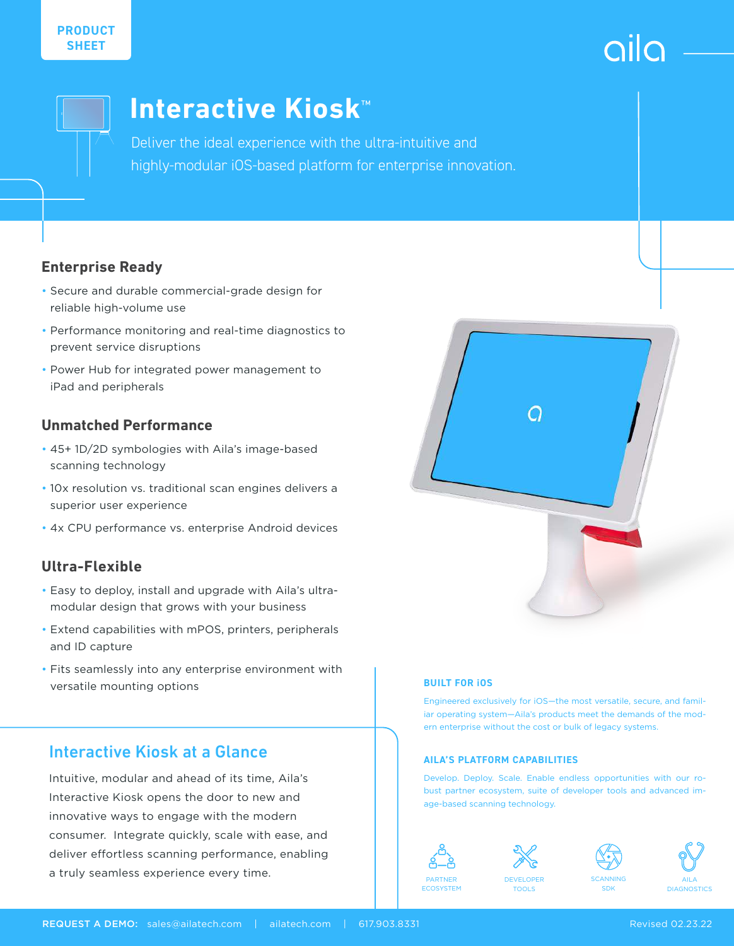



# **Interactive Kiosk**™

Deliver the ideal experience with the ultra-intuitive and highly-modular iOS-based platform for enterprise innovation.

### **Enterprise Ready**

- Secure and durable commercial-grade design for reliable high-volume use
- Performance monitoring and real-time diagnostics to prevent service disruptions
- Power Hub for integrated power management to iPad and peripherals

### **Unmatched Performance**

- 45+ 1D/2D symbologies with Aila's image-based scanning technology
- 10x resolution vs. traditional scan engines delivers a superior user experience
- 4x CPU performance vs. enterprise Android devices

### **Ultra-Flexible**

- Easy to deploy, install and upgrade with Aila's ultramodular design that grows with your business
- Extend capabilities with mPOS, printers, peripherals and ID capture
- Fits seamlessly into any enterprise environment with versatile mounting options

### Interactive Kiosk at a Glance

Intuitive, modular and ahead of its time, Aila's Interactive Kiosk opens the door to new and innovative ways to engage with the modern consumer. Integrate quickly, scale with ease, and deliver effortless scanning performance, enabling a truly seamless experience every time.



### **BUILT FOR iOS**

Engineered exclusively for iOS—the most versatile, secure, and familiar operating system—Aila's products meet the demands of the modern enterprise without the cost or bulk of legacy systems.

### **AILA'S PLATFORM CAPABILITIES**

Develop. Deploy. Scale. Enable endless opportunities with our robust partner ecosystem, suite of developer tools and advanced image-based scanning technology.



**ECOSYSTEM** 



TOOLS